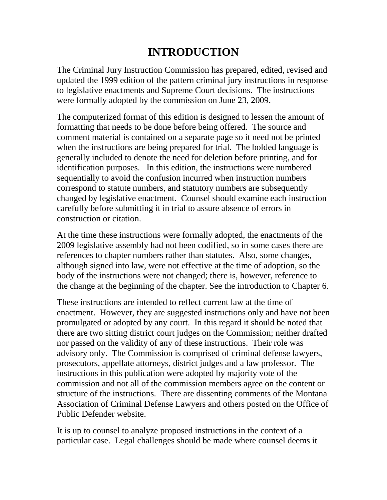## **INTRODUCTION**

The Criminal Jury Instruction Commission has prepared, edited, revised and updated the 1999 edition of the pattern criminal jury instructions in response to legislative enactments and Supreme Court decisions. The instructions were formally adopted by the commission on June 23, 2009.

The computerized format of this edition is designed to lessen the amount of formatting that needs to be done before being offered. The source and comment material is contained on a separate page so it need not be printed when the instructions are being prepared for trial. The bolded language is generally included to denote the need for deletion before printing, and for identification purposes. In this edition, the instructions were numbered sequentially to avoid the confusion incurred when instruction numbers correspond to statute numbers, and statutory numbers are subsequently changed by legislative enactment. Counsel should examine each instruction carefully before submitting it in trial to assure absence of errors in construction or citation.

At the time these instructions were formally adopted, the enactments of the 2009 legislative assembly had not been codified, so in some cases there are references to chapter numbers rather than statutes. Also, some changes, although signed into law, were not effective at the time of adoption, so the body of the instructions were not changed; there is, however, reference to the change at the beginning of the chapter. See the introduction to Chapter 6.

These instructions are intended to reflect current law at the time of enactment. However, they are suggested instructions only and have not been promulgated or adopted by any court. In this regard it should be noted that there are two sitting district court judges on the Commission; neither drafted nor passed on the validity of any of these instructions. Their role was advisory only. The Commission is comprised of criminal defense lawyers, prosecutors, appellate attorneys, district judges and a law professor. The instructions in this publication were adopted by majority vote of the commission and not all of the commission members agree on the content or structure of the instructions. There are dissenting comments of the Montana Association of Criminal Defense Lawyers and others posted on the Office of Public Defender website.

It is up to counsel to analyze proposed instructions in the context of a particular case. Legal challenges should be made where counsel deems it